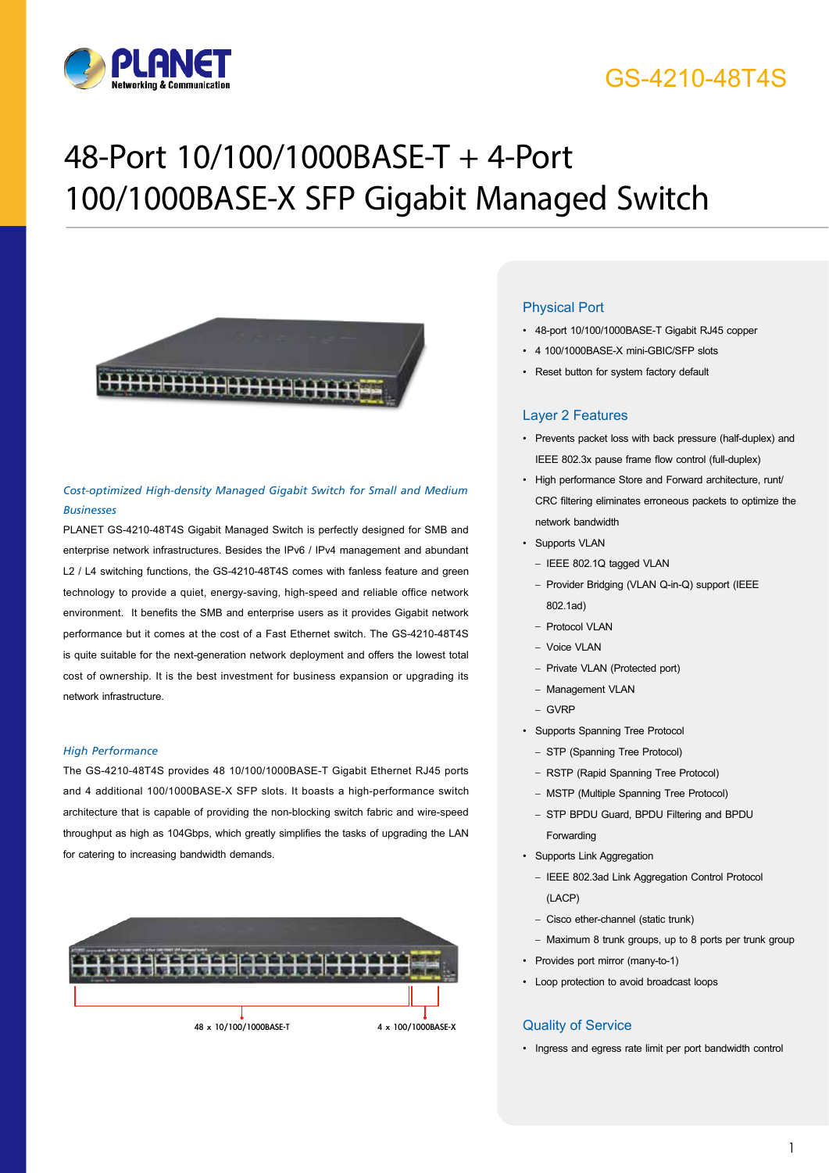

## GS-4210-48T4S

# 48-Port 10/100/1000BASE-T + 4-Port 100/1000BASE-X SFP Gigabit Managed Switch



#### *Cost-optimized High-density Managed Gigabit Switch for Small and Medium Businesses*

PLANET GS-4210-48T4S Gigabit Managed Switch is perfectly designed for SMB and enterprise network infrastructures. Besides the IPv6 / IPv4 management and abundant L2 / L4 switching functions, the GS-4210-48T4S comes with fanless feature and green technology to provide a quiet, energy-saving, high-speed and reliable office network environment. It benefits the SMB and enterprise users as it provides Gigabit network performance but it comes at the cost of a Fast Ethernet switch. The GS-4210-48T4S is quite suitable for the next-generation network deployment and offers the lowest total cost of ownership. It is the best investment for business expansion or upgrading its network infrastructure.

#### *High Performance*

The GS-4210-48T4S provides 48 10/100/1000BASE-T Gigabit Ethernet RJ45 ports and 4 additional 100/1000BASE-X SFP slots. It boasts a high-performance switch architecture that is capable of providing the non-blocking switch fabric and wire-speed throughput as high as 104Gbps, which greatly simplifies the tasks of upgrading the LAN for catering to increasing bandwidth demands.



#### Physical Port

- • 48-port 10/100/1000BASE-T Gigabit RJ45 copper
- 4 100/1000BASE-X mini-GBIC/SFP slots
- Reset button for system factory default

#### Layer 2 Features

- • Prevents packet loss with back pressure (half-duplex) and IEEE 802.3x pause frame flow control (full-duplex)
- • High performance Store and Forward architecture, runt/ CRC filtering eliminates erroneous packets to optimize the network bandwidth
- Supports VLAN
	- IEEE 802.1Q tagged VLAN
	- Provider Bridging (VLAN Q-in-Q) support (IEEE 802.1ad)
	- Protocol VLAN
	- Voice VLAN
	- Private VLAN (Protected port)
	- Management VLAN
	- GVRP
- • Supports Spanning Tree Protocol
	- STP (Spanning Tree Protocol)
	- RSTP (Rapid Spanning Tree Protocol)
	- MSTP (Multiple Spanning Tree Protocol)
	- STP BPDU Guard, BPDU Filtering and BPDU Forwarding
- • Supports Link Aggregation
	- IEEE 802.3ad Link Aggregation Control Protocol (LACP)
- Cisco ether-channel (static trunk)
- Maximum 8 trunk groups, up to 8 ports per trunk group
- Provides port mirror (many-to-1)
- • Loop protection to avoid broadcast loops

#### Quality of Service

• Ingress and egress rate limit per port bandwidth control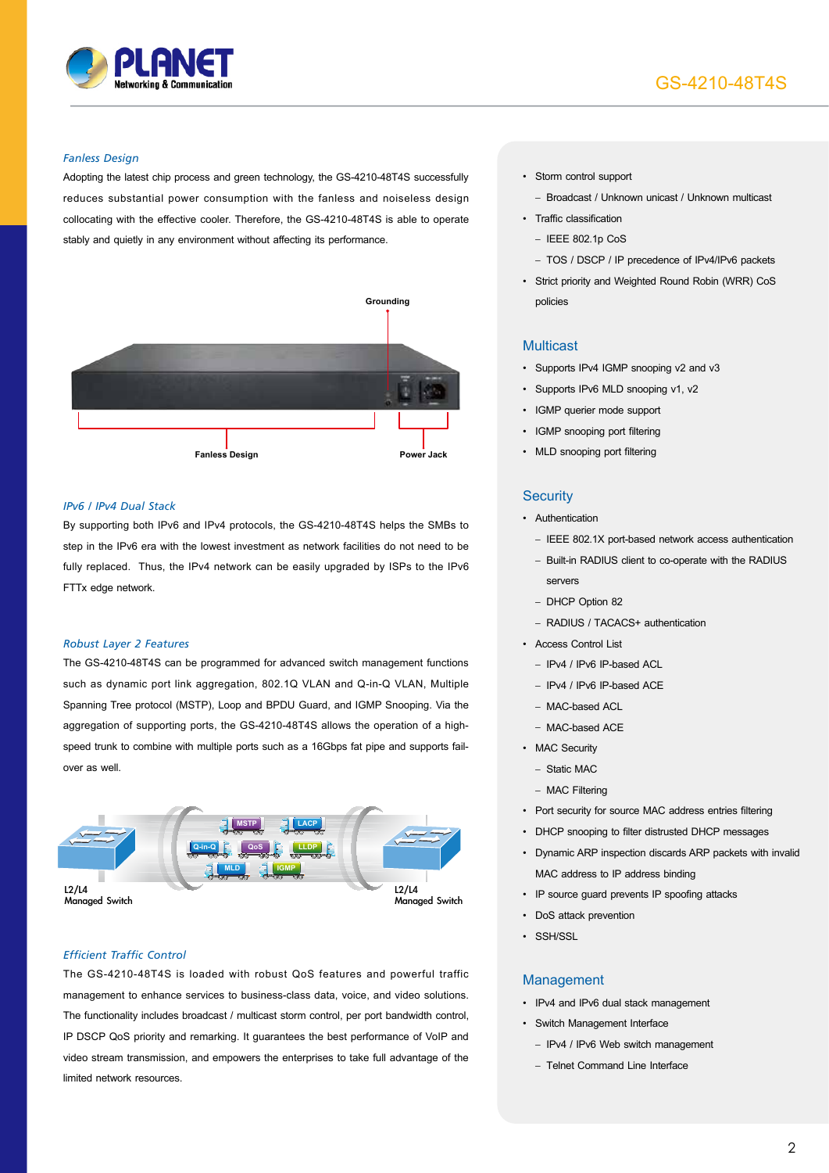

### GS-4210-48T4S

#### *Fanless Design*

Adopting the latest chip process and green technology, the GS-4210-48T4S successfully reduces substantial power consumption with the fanless and noiseless design collocating with the effective cooler. Therefore, the GS-4210-48T4S is able to operate stably and quietly in any environment without affecting its performance.



#### *IPv6 / IPv4 Dual Stack*

By supporting both IPv6 and IPv4 protocols, the GS-4210-48T4S helps the SMBs to step in the IPv6 era with the lowest investment as network facilities do not need to be fully replaced. Thus, the IPv4 network can be easily upgraded by ISPs to the IPv6 FTTx edge network.

#### *Robust Layer 2 Features*

The GS-4210-48T4S can be programmed for advanced switch management functions such as dynamic port link aggregation, 802.1Q VLAN and Q-in-Q VLAN, Multiple Spanning Tree protocol (MSTP), Loop and BPDU Guard, and IGMP Snooping. Via the aggregation of supporting ports, the GS-4210-48T4S allows the operation of a highspeed trunk to combine with multiple ports such as a 16Gbps fat pipe and supports failover as well.



#### *Efficient Traffic Control*

The GS-4210-48T4S is loaded with robust QoS features and powerful traffic management to enhance services to business-class data, voice, and video solutions. The functionality includes broadcast / multicast storm control, per port bandwidth control, IP DSCP QoS priority and remarking. It guarantees the best performance of VoIP and video stream transmission, and empowers the enterprises to take full advantage of the limited network resources.

• Storm control support

– Broadcast / Unknown unicast / Unknown multicast

- • Traffic classification
	- IEEE 802.1p CoS
	- TOS / DSCP / IP precedence of IPv4/IPv6 packets
- • Strict priority and Weighted Round Robin (WRR) CoS policies

#### **Multicast**

- • Supports IPv4 IGMP snooping v2 and v3
- Supports IPv6 MLD snooping v1, v2
- • IGMP querier mode support
- IGMP snooping port filtering
- MLD snooping port filtering

#### **Security**

- Authentication
	- IEEE 802.1X port-based network access authentication
	- Built-in RADIUS client to co-operate with the RADIUS servers
	- DHCP Option 82
	- RADIUS / TACACS+ authentication
- • Access Control List
	- IPv4 / IPv6 IP-based ACL
	- IPv4 / IPv6 IP-based ACE
	- $-$  MAC-based ACL
	- MAC-based ACE
- MAC Security
	- Static MAC
	- MAC Filtering
- • Port security for source MAC address entries filtering
- DHCP snooping to filter distrusted DHCP messages
- • Dynamic ARP inspection discards ARP packets with invalid MAC address to IP address binding
- IP source quard prevents IP spoofing attacks
- DoS attack prevention
- • SSH/SSL

#### Management

- • IPv4 and IPv6 dual stack management
- • Switch Management Interface
	- IPv4 / IPv6 Web switch management
	- Telnet Command Line Interface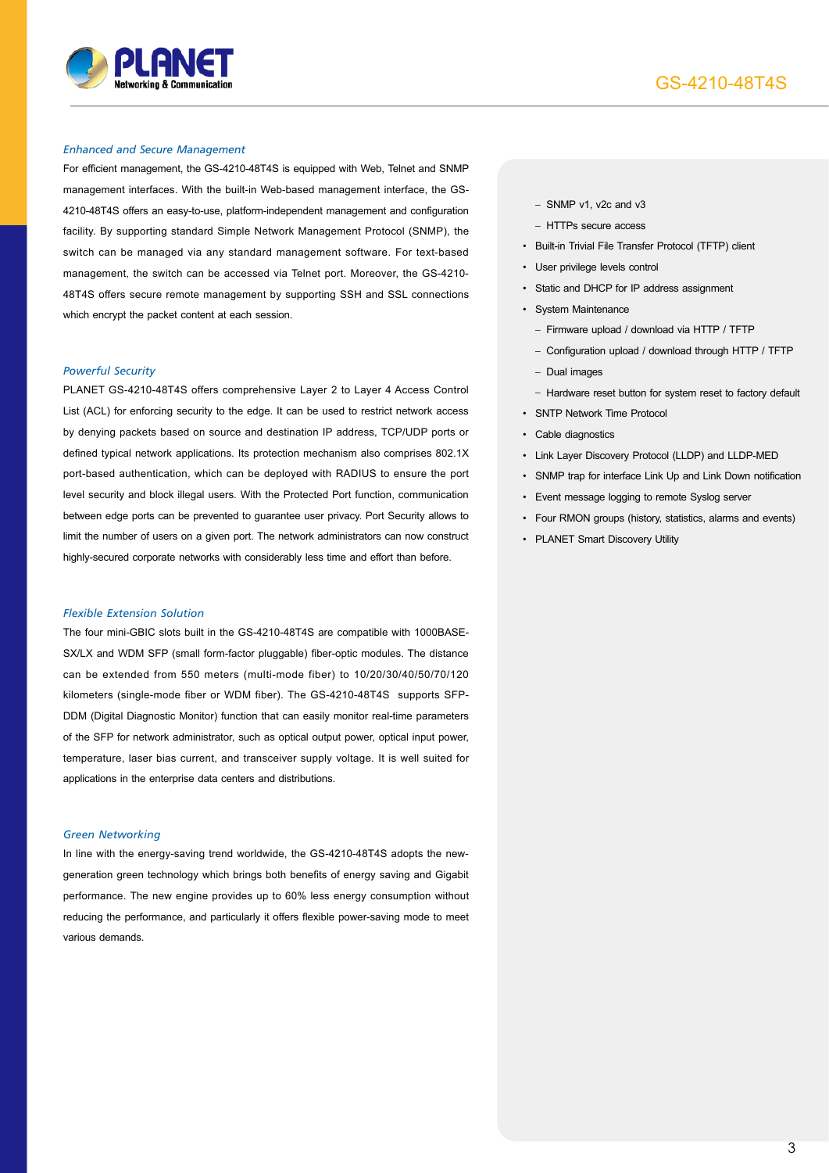

#### *Enhanced and Secure Management*

For efficient management, the GS-4210-48T4S is equipped with Web, Telnet and SNMP management interfaces. With the built-in Web-based management interface, the GS-4210-48T4S offers an easy-to-use, platform-independent management and configuration facility. By supporting standard Simple Network Management Protocol (SNMP), the switch can be managed via any standard management software. For text-based management, the switch can be accessed via Telnet port. Moreover, the GS-4210- 48T4S offers secure remote management by supporting SSH and SSL connections which encrypt the packet content at each session.

#### *Powerful Security*

PLANET GS-4210-48T4S offers comprehensive Layer 2 to Layer 4 Access Control List (ACL) for enforcing security to the edge. It can be used to restrict network access by denying packets based on source and destination IP address, TCP/UDP ports or defined typical network applications. Its protection mechanism also comprises 802.1X port-based authentication, which can be deployed with RADIUS to ensure the port level security and block illegal users. With the Protected Port function, communication between edge ports can be prevented to guarantee user privacy. Port Security allows to limit the number of users on a given port. The network administrators can now construct highly-secured corporate networks with considerably less time and effort than before.

#### *Flexible Extension Solution*

The four mini-GBIC slots built in the GS-4210-48T4S are compatible with 1000BASE-SX/LX and WDM SFP (small form-factor pluggable) fiber-optic modules. The distance can be extended from 550 meters (multi-mode fiber) to 10/20/30/40/50/70/120 kilometers (single-mode fiber or WDM fiber). The GS-4210-48T4S supports SFP-DDM (Digital Diagnostic Monitor) function that can easily monitor real-time parameters of the SFP for network administrator, such as optical output power, optical input power, temperature, laser bias current, and transceiver supply voltage. It is well suited for applications in the enterprise data centers and distributions.

#### *Green Networking*

In line with the energy-saving trend worldwide, the GS-4210-48T4S adopts the newgeneration green technology which brings both benefits of energy saving and Gigabit performance. The new engine provides up to 60% less energy consumption without reducing the performance, and particularly it offers flexible power-saving mode to meet various demands.

- SNMP v1, v2c and v3
- HTTPs secure access
- • Built-in Trivial File Transfer Protocol (TFTP) client
- • User privilege levels control
	- Static and DHCP for IP address assignment
- • System Maintenance
	- Firmware upload / download via HTTP / TFTP
	- Configuration upload / download through HTTP / TFTP
	- Dual images
	- Hardware reset button for system reset to factory default
- • SNTP Network Time Protocol
- • Cable diagnostics
- • Link Layer Discovery Protocol (LLDP) and LLDP-MED
- SNMP trap for interface Link Up and Link Down notification
- • Event message logging to remote Syslog server
- • Four RMON groups (history, statistics, alarms and events)
- PLANET Smart Discovery Utility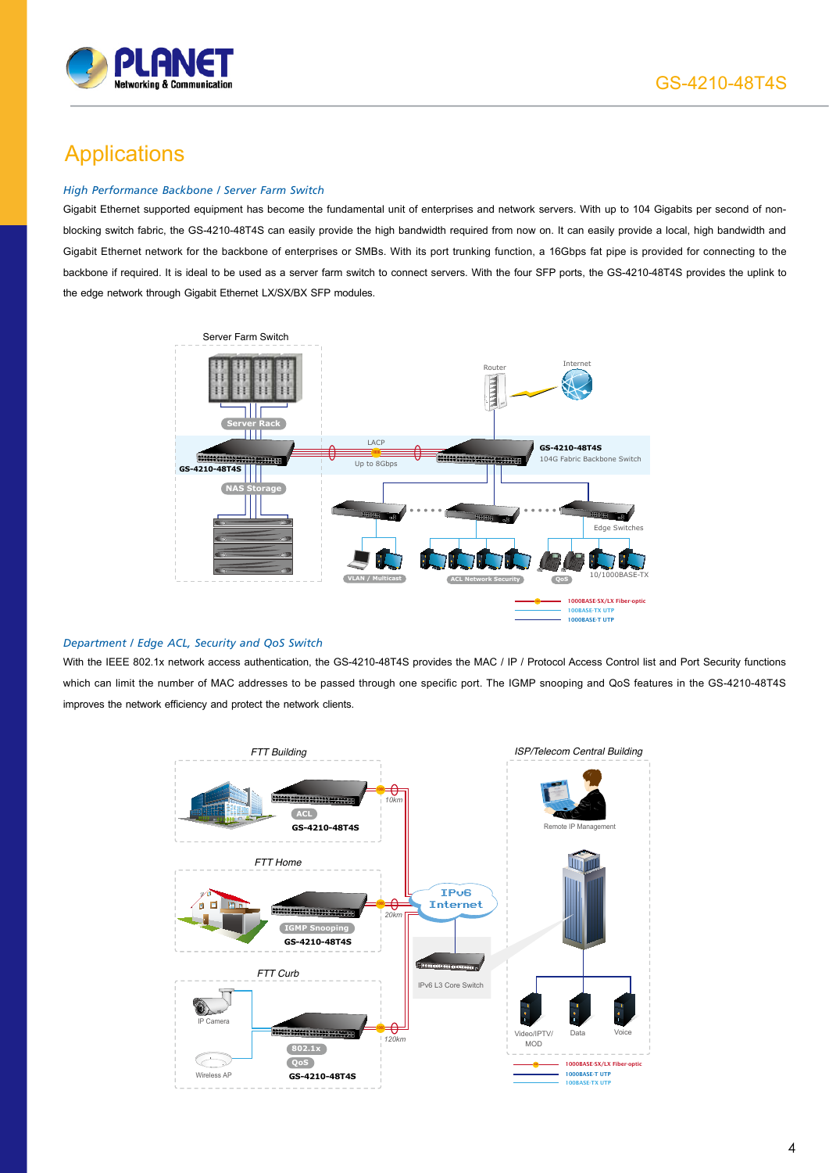

### **Applications**

#### *High Performance Backbone / Server Farm Switch*

Gigabit Ethernet supported equipment has become the fundamental unit of enterprises and network servers. With up to 104 Gigabits per second of nonblocking switch fabric, the GS-4210-48T4S can easily provide the high bandwidth required from now on. It can easily provide a local, high bandwidth and Gigabit Ethernet network for the backbone of enterprises or SMBs. With its port trunking function, a 16Gbps fat pipe is provided for connecting to the backbone if required. It is ideal to be used as a server farm switch to connect servers. With the four SFP ports, the GS-4210-48T4S provides the uplink to the edge network through Gigabit Ethernet LX/SX/BX SFP modules.



#### *Department / Edge ACL, Security and QoS Switch*

With the IEEE 802.1x network access authentication, the GS-4210-48T4S provides the MAC / IP / Protocol Access Control list and Port Security functions which can limit the number of MAC addresses to be passed through one specific port. The IGMP snooping and QoS features in the GS-4210-48T4S improves the network efficiency and protect the network clients.

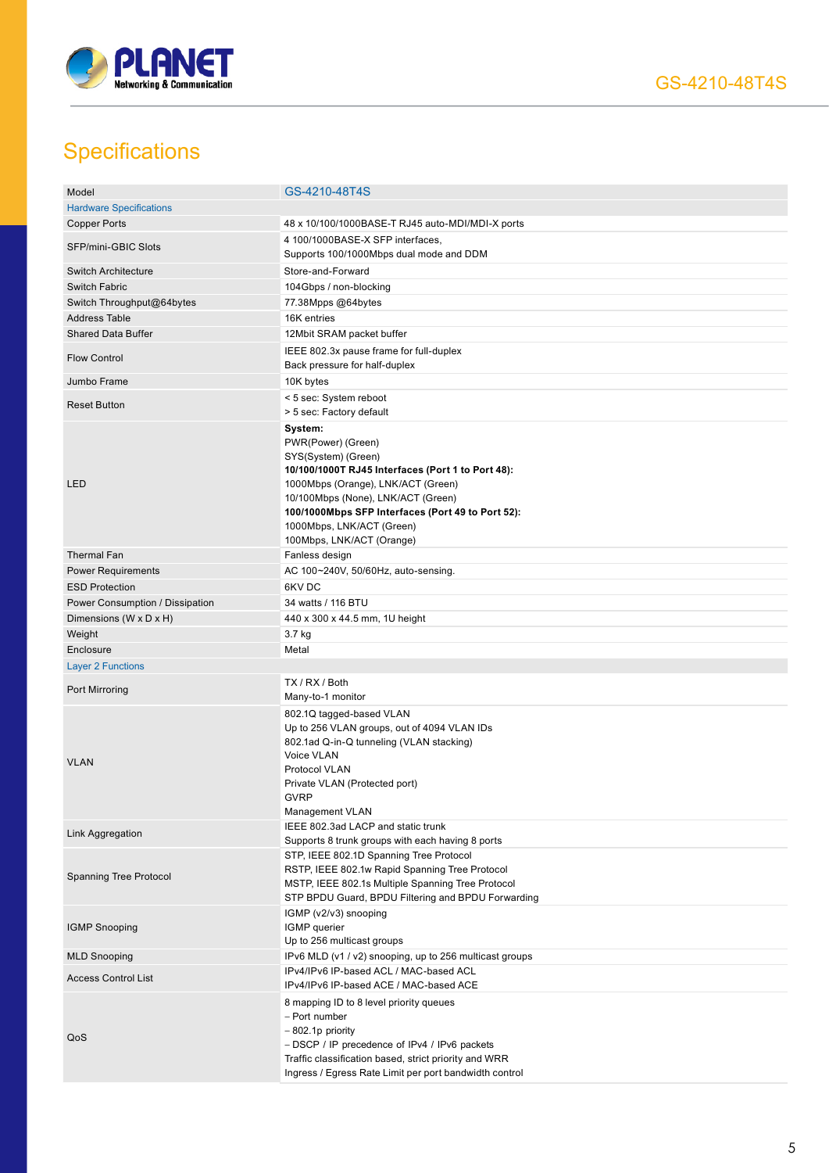

## **Specifications**

| Model                                | GS-4210-48T4S                                                                                                                                                                                                                                                                                        |
|--------------------------------------|------------------------------------------------------------------------------------------------------------------------------------------------------------------------------------------------------------------------------------------------------------------------------------------------------|
| <b>Hardware Specifications</b>       |                                                                                                                                                                                                                                                                                                      |
| <b>Copper Ports</b>                  | 48 x 10/100/1000BASE-T RJ45 auto-MDI/MDI-X ports                                                                                                                                                                                                                                                     |
| SFP/mini-GBIC Slots                  | 4 100/1000BASE-X SFP interfaces,<br>Supports 100/1000Mbps dual mode and DDM                                                                                                                                                                                                                          |
| <b>Switch Architecture</b>           | Store-and-Forward                                                                                                                                                                                                                                                                                    |
|                                      |                                                                                                                                                                                                                                                                                                      |
| <b>Switch Fabric</b>                 | 104Gbps / non-blocking                                                                                                                                                                                                                                                                               |
| Switch Throughput@64bytes            | 77.38Mpps @64bytes                                                                                                                                                                                                                                                                                   |
| <b>Address Table</b>                 | 16K entries                                                                                                                                                                                                                                                                                          |
| <b>Shared Data Buffer</b>            | 12Mbit SRAM packet buffer                                                                                                                                                                                                                                                                            |
| <b>Flow Control</b>                  | IEEE 802.3x pause frame for full-duplex<br>Back pressure for half-duplex                                                                                                                                                                                                                             |
| Jumbo Frame                          | 10K bytes                                                                                                                                                                                                                                                                                            |
| <b>Reset Button</b>                  | < 5 sec: System reboot<br>> 5 sec: Factory default                                                                                                                                                                                                                                                   |
| <b>LED</b>                           | System:<br>PWR(Power) (Green)<br>SYS(System) (Green)<br>10/100/1000T RJ45 Interfaces (Port 1 to Port 48):<br>1000Mbps (Orange), LNK/ACT (Green)<br>10/100Mbps (None), LNK/ACT (Green)<br>100/1000Mbps SFP Interfaces (Port 49 to Port 52):<br>1000Mbps, LNK/ACT (Green)<br>100Mbps, LNK/ACT (Orange) |
| <b>Thermal Fan</b>                   | Fanless design                                                                                                                                                                                                                                                                                       |
| <b>Power Requirements</b>            | AC 100~240V, 50/60Hz, auto-sensing.                                                                                                                                                                                                                                                                  |
| <b>ESD Protection</b>                | 6KV DC                                                                                                                                                                                                                                                                                               |
| Power Consumption / Dissipation      | 34 watts / 116 BTU                                                                                                                                                                                                                                                                                   |
| Dimensions ( $W \times D \times H$ ) | 440 x 300 x 44.5 mm, 1U height                                                                                                                                                                                                                                                                       |
| Weight                               | 3.7 kg                                                                                                                                                                                                                                                                                               |
| Enclosure                            | Metal                                                                                                                                                                                                                                                                                                |
| <b>Layer 2 Functions</b>             |                                                                                                                                                                                                                                                                                                      |
|                                      | TX / RX / Both                                                                                                                                                                                                                                                                                       |
| Port Mirroring                       | Many-to-1 monitor                                                                                                                                                                                                                                                                                    |
| <b>VLAN</b>                          | 802.1Q tagged-based VLAN<br>Up to 256 VLAN groups, out of 4094 VLAN IDs<br>802.1ad Q-in-Q tunneling (VLAN stacking)<br>Voice VLAN<br>Protocol VLAN<br>Private VLAN (Protected port)<br><b>GVRP</b><br>Management VLAN                                                                                |
| Link Aggregation                     | IEEE 802.3ad LACP and static trunk<br>Supports 8 trunk groups with each having 8 ports                                                                                                                                                                                                               |
| Spanning Tree Protocol               | STP, IEEE 802.1D Spanning Tree Protocol<br>RSTP, IEEE 802.1w Rapid Spanning Tree Protocol<br>MSTP, IEEE 802.1s Multiple Spanning Tree Protocol<br>STP BPDU Guard, BPDU Filtering and BPDU Forwarding                                                                                                 |
| <b>IGMP Snooping</b>                 | IGMP (v2/v3) snooping<br>IGMP querier<br>Up to 256 multicast groups                                                                                                                                                                                                                                  |
| <b>MLD Snooping</b>                  | IPv6 MLD (v1 / v2) snooping, up to 256 multicast groups                                                                                                                                                                                                                                              |
| <b>Access Control List</b>           | IPv4/IPv6 IP-based ACL / MAC-based ACL<br>IPv4/IPv6 IP-based ACE / MAC-based ACE                                                                                                                                                                                                                     |
| QoS                                  | 8 mapping ID to 8 level priority queues<br>- Port number<br>$-802.1p$ priority<br>- DSCP / IP precedence of IPv4 / IPv6 packets<br>Traffic classification based, strict priority and WRR<br>Ingress / Egress Rate Limit per port bandwidth control                                                   |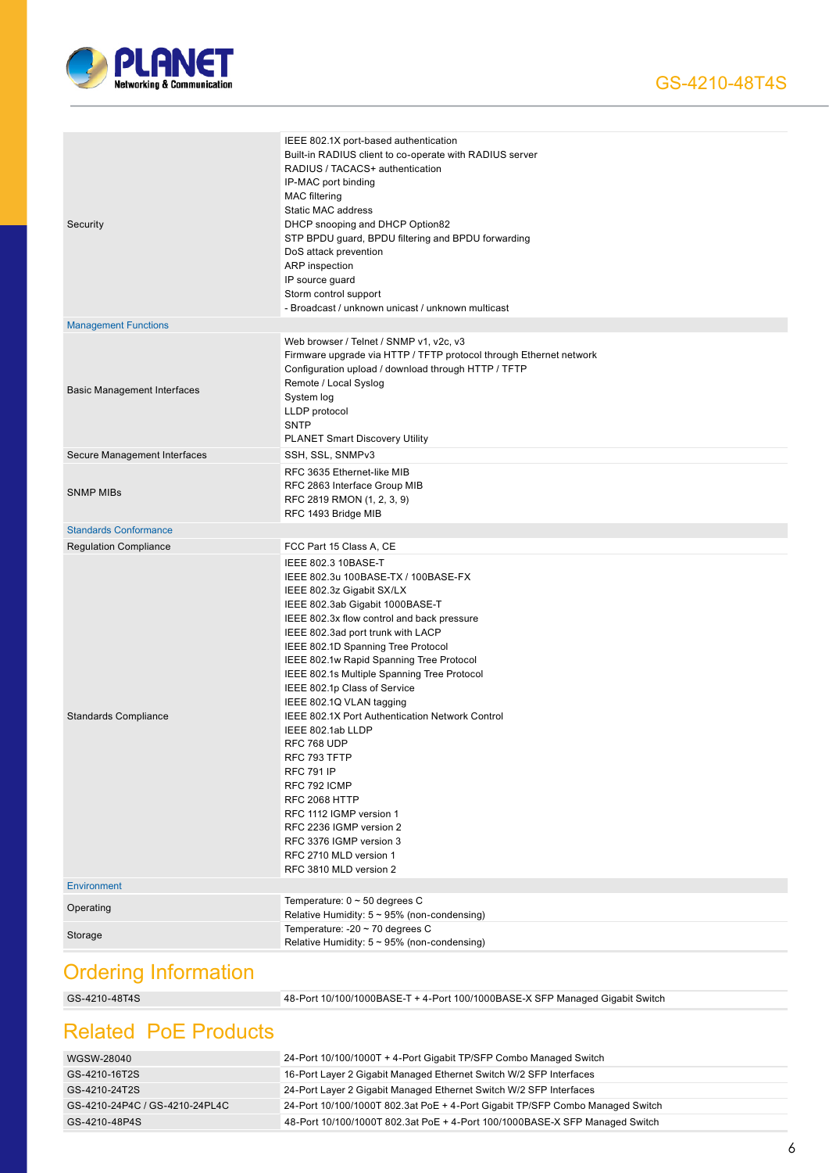

| Security                           | IEEE 802.1X port-based authentication<br>Built-in RADIUS client to co-operate with RADIUS server<br>RADIUS / TACACS+ authentication<br>IP-MAC port binding<br><b>MAC</b> filtering<br>Static MAC address<br>DHCP snooping and DHCP Option82<br>STP BPDU guard, BPDU filtering and BPDU forwarding<br>DoS attack prevention<br>ARP inspection<br>IP source guard<br>Storm control support<br>- Broadcast / unknown unicast / unknown multicast                                                                                                                                                                                                                                                                |
|------------------------------------|--------------------------------------------------------------------------------------------------------------------------------------------------------------------------------------------------------------------------------------------------------------------------------------------------------------------------------------------------------------------------------------------------------------------------------------------------------------------------------------------------------------------------------------------------------------------------------------------------------------------------------------------------------------------------------------------------------------|
| <b>Management Functions</b>        |                                                                                                                                                                                                                                                                                                                                                                                                                                                                                                                                                                                                                                                                                                              |
| <b>Basic Management Interfaces</b> | Web browser / Telnet / SNMP v1, v2c, v3<br>Firmware upgrade via HTTP / TFTP protocol through Ethernet network<br>Configuration upload / download through HTTP / TFTP<br>Remote / Local Syslog<br>System log<br>LLDP protocol<br><b>SNTP</b><br><b>PLANET Smart Discovery Utility</b>                                                                                                                                                                                                                                                                                                                                                                                                                         |
| Secure Management Interfaces       | SSH, SSL, SNMPv3                                                                                                                                                                                                                                                                                                                                                                                                                                                                                                                                                                                                                                                                                             |
| <b>SNMP MIBs</b>                   | RFC 3635 Ethernet-like MIB<br>RFC 2863 Interface Group MIB<br>RFC 2819 RMON (1, 2, 3, 9)<br>RFC 1493 Bridge MIB                                                                                                                                                                                                                                                                                                                                                                                                                                                                                                                                                                                              |
| <b>Standards Conformance</b>       |                                                                                                                                                                                                                                                                                                                                                                                                                                                                                                                                                                                                                                                                                                              |
| <b>Regulation Compliance</b>       | FCC Part 15 Class A, CE                                                                                                                                                                                                                                                                                                                                                                                                                                                                                                                                                                                                                                                                                      |
| <b>Standards Compliance</b>        | IEEE 802.3 10BASE-T<br>IEEE 802.3u 100BASE-TX / 100BASE-FX<br>IEEE 802.3z Gigabit SX/LX<br>IEEE 802.3ab Gigabit 1000BASE-T<br>IEEE 802.3x flow control and back pressure<br>IEEE 802.3ad port trunk with LACP<br>IEEE 802.1D Spanning Tree Protocol<br>IEEE 802.1w Rapid Spanning Tree Protocol<br>IEEE 802.1s Multiple Spanning Tree Protocol<br>IEEE 802.1p Class of Service<br>IEEE 802.1Q VLAN tagging<br>IEEE 802.1X Port Authentication Network Control<br>IEEE 802.1ab LLDP<br>RFC 768 UDP<br>RFC 793 TFTP<br><b>RFC 791 IP</b><br>RFC 792 ICMP<br>RFC 2068 HTTP<br>RFC 1112 IGMP version 1<br>RFC 2236 IGMP version 2<br>RFC 3376 IGMP version 3<br>RFC 2710 MLD version 1<br>RFC 3810 MLD version 2 |
| <b>Environment</b>                 |                                                                                                                                                                                                                                                                                                                                                                                                                                                                                                                                                                                                                                                                                                              |
| Operating                          | Temperature: $0 \sim 50$ degrees C<br>Relative Humidity: $5 \sim 95\%$ (non-condensing)                                                                                                                                                                                                                                                                                                                                                                                                                                                                                                                                                                                                                      |
| Storage                            | Temperature: -20 $\sim$ 70 degrees C<br>Relative Humidity: $5 \sim 95\%$ (non-condensing)                                                                                                                                                                                                                                                                                                                                                                                                                                                                                                                                                                                                                    |
| Ordering Information               |                                                                                                                                                                                                                                                                                                                                                                                                                                                                                                                                                                                                                                                                                                              |

### Ordering Information

GS-4210-48T4S 48-Port 10/100/1000BASE-T + 4-Port 100/1000BASE-X SFP Managed Gigabit Switch

### Related PoE Products

| WGSW-28040                     | 24-Port 10/100/1000T + 4-Port Gigabit TP/SFP Combo Managed Switch             |
|--------------------------------|-------------------------------------------------------------------------------|
| GS-4210-16T2S                  | 16-Port Layer 2 Gigabit Managed Ethernet Switch W/2 SFP Interfaces            |
| GS-4210-24T2S                  | 24-Port Layer 2 Gigabit Managed Ethernet Switch W/2 SFP Interfaces            |
| GS-4210-24P4C / GS-4210-24PL4C | 24-Port 10/100/1000T 802.3at PoE + 4-Port Gigabit TP/SFP Combo Managed Switch |
| GS-4210-48P4S                  | 48-Port 10/100/1000T 802.3at PoE + 4-Port 100/1000BASE-X SFP Managed Switch   |